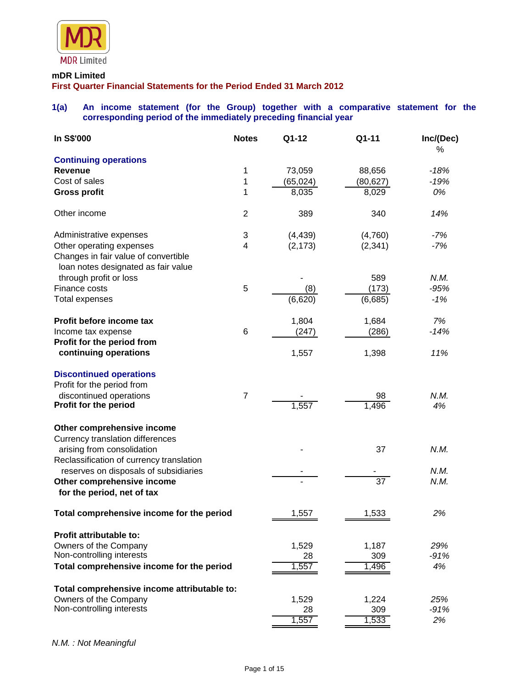

#### **mDR Limited**

**First Quarter Financial Statements for the Period Ended 31 March 2012**

## **1(a) An income statement (for the Group) together with a comparative statement for the corresponding period of the immediately preceding financial year**

| In S\$'000                                                                  | <b>Notes</b>   | Q1-12       | Q1-11           | Inc/(Dec)<br>% |
|-----------------------------------------------------------------------------|----------------|-------------|-----------------|----------------|
| <b>Continuing operations</b>                                                |                |             |                 |                |
| <b>Revenue</b>                                                              | 1              | 73,059      | 88,656          | $-18%$         |
| Cost of sales                                                               | 1              | (65,024)    | (80, 627)       | $-19%$         |
| <b>Gross profit</b>                                                         | 1              | 8,035       | 8,029           | 0%             |
| Other income                                                                | $\overline{2}$ | 389         | 340             | 14%            |
| Administrative expenses                                                     | 3              | (4, 439)    | (4,760)         | $-7%$          |
| Other operating expenses                                                    | 4              | (2, 173)    | (2, 341)        | $-7%$          |
| Changes in fair value of convertible<br>loan notes designated as fair value |                |             |                 |                |
| through profit or loss                                                      |                |             | 589             | N.M.           |
| Finance costs                                                               | 5              | (8)         | (173)           | $-95%$         |
| <b>Total expenses</b>                                                       |                | (6, 620)    | (6,685)         | $-1%$          |
| Profit before income tax                                                    |                | 1,804       | 1,684           | 7%             |
| Income tax expense                                                          | $\,6$          | (247)       | (286)           | $-14%$         |
| Profit for the period from                                                  |                |             |                 |                |
| continuing operations                                                       |                | 1,557       | 1,398           | 11%            |
| <b>Discontinued operations</b>                                              |                |             |                 |                |
| Profit for the period from                                                  |                |             |                 |                |
| discontinued operations<br>Profit for the period                            | $\overline{7}$ | 1,557       | 98<br>1,496     | N.M.<br>4%     |
| Other comprehensive income                                                  |                |             |                 |                |
| <b>Currency translation differences</b>                                     |                |             |                 |                |
| arising from consolidation                                                  |                |             | 37              | N.M.           |
| Reclassification of currency translation                                    |                |             |                 |                |
| reserves on disposals of subsidiaries                                       |                |             |                 | N.M.           |
| Other comprehensive income<br>for the period, net of tax                    |                |             | $\overline{37}$ | N.M.           |
| Total comprehensive income for the period                                   |                | 1,557       | 1,533           | 2%             |
|                                                                             |                |             |                 |                |
| <b>Profit attributable to:</b>                                              |                |             |                 | 29%            |
| Owners of the Company<br>Non-controlling interests                          |                | 1,529<br>28 | 1,187<br>309    | $-91%$         |
| Total comprehensive income for the period                                   |                | 1,557       | 1,496           | 4%             |
|                                                                             |                |             |                 |                |
| Total comprehensive income attributable to:                                 |                |             |                 |                |
| Owners of the Company<br>Non-controlling interests                          |                | 1,529<br>28 | 1,224<br>309    | 25%<br>$-91%$  |
|                                                                             |                | 1,557       | 1,533           | 2%             |

*N.M. : Not Meaningful*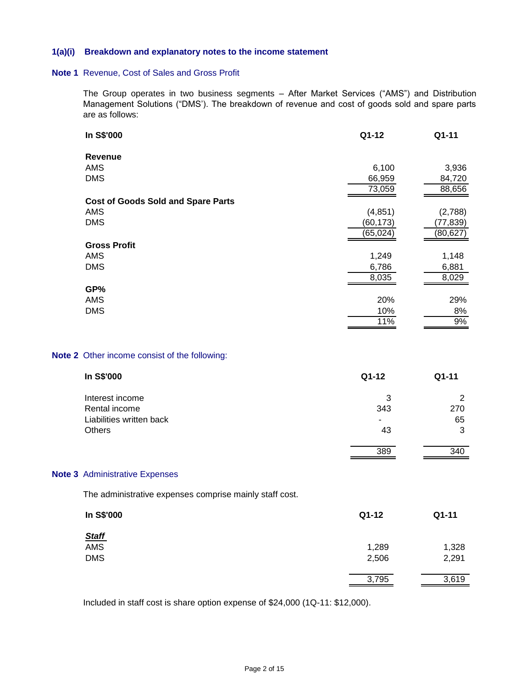#### **1(a)(i) Breakdown and explanatory notes to the income statement**

#### **Note 1** Revenue, Cost of Sales and Gross Profit

The Group operates in two business segments – After Market Services ("AMS") and Distribution Management Solutions ("DMS'). The breakdown of revenue and cost of goods sold and spare parts are as follows:

| In S\$'000                                | Q1-12     | Q1-11     |
|-------------------------------------------|-----------|-----------|
| <b>Revenue</b>                            |           |           |
| AMS                                       | 6,100     | 3,936     |
| <b>DMS</b>                                | 66,959    | 84,720    |
|                                           | 73,059    | 88,656    |
| <b>Cost of Goods Sold and Spare Parts</b> |           |           |
| AMS                                       | (4, 851)  | (2,788)   |
| <b>DMS</b>                                | (60, 173) | (77, 839) |
|                                           | (65, 024) | (80, 627) |
| <b>Gross Profit</b>                       |           |           |
| <b>AMS</b>                                | 1,249     | 1,148     |
| <b>DMS</b>                                | 6,786     | 6,881     |
|                                           | 8,035     | 8,029     |
| GP%                                       |           |           |
| AMS                                       | 20%       | 29%       |
| <b>DMS</b>                                | 10%       | 8%        |
|                                           | 11%       | 9%        |

### **Note 2** Other income consist of the following:

| In S\$'000               | Q1-12 | $Q1 - 11$ |
|--------------------------|-------|-----------|
| Interest income          | 3     | 2         |
| Rental income            | 343   | 270       |
| Liabilities written back | ۰     | 65        |
| <b>Others</b>            | 43    | 3         |
|                          | 389   | 340       |

#### **Note 3** Administrative Expenses

The administrative expenses comprise mainly staff cost.

| In S\$'000   | $Q1-12$ | Q1-11 |
|--------------|---------|-------|
| <b>Staff</b> |         |       |
| AMS          | 1,289   | 1,328 |
| <b>DMS</b>   | 2,506   | 2,291 |
|              | 3,795   | 3,619 |

Included in staff cost is share option expense of \$24,000 (1Q-11: \$12,000).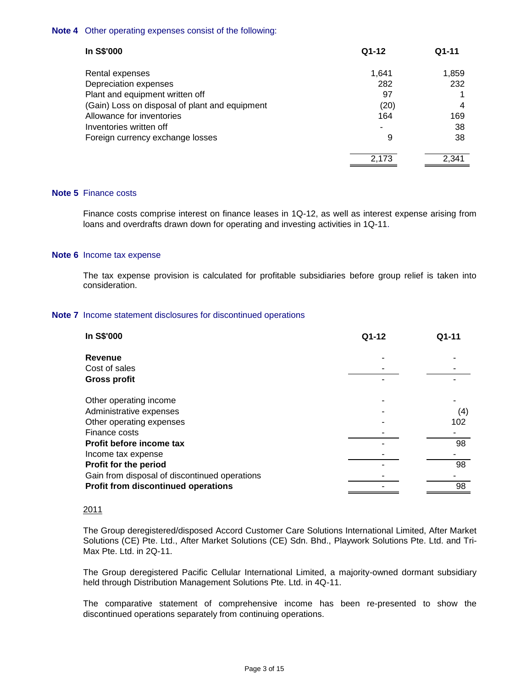## **Note 4** Other operating expenses consist of the following:

| In S\$'000                                     | $Q1-12$ | $Q1-11$ |
|------------------------------------------------|---------|---------|
| Rental expenses                                | 1,641   | 1,859   |
| Depreciation expenses                          | 282     | 232     |
| Plant and equipment written off                | 97      |         |
| (Gain) Loss on disposal of plant and equipment | (20)    | 4       |
| Allowance for inventories                      | 164     | 169     |
| Inventories written off                        |         | 38      |
| Foreign currency exchange losses               | 9       | 38      |
|                                                | 2,173   | 2.341   |

#### **Note 5** Finance costs

Finance costs comprise interest on finance leases in 1Q-12, as well as interest expense arising from loans and overdrafts drawn down for operating and investing activities in 1Q-11.

#### **Note 6** Income tax expense

The tax expense provision is calculated for profitable subsidiaries before group relief is taken into consideration.

#### **Note 7** Income statement disclosures for discontinued operations

| In S\$'000                                    | Q1-12 | Q1-11 |
|-----------------------------------------------|-------|-------|
| Revenue                                       |       |       |
| Cost of sales                                 |       |       |
| <b>Gross profit</b>                           |       |       |
| Other operating income                        |       |       |
| Administrative expenses                       |       | (4)   |
| Other operating expenses                      |       | 102   |
| Finance costs                                 |       |       |
| Profit before income tax                      |       | 98    |
| Income tax expense                            |       |       |
| Profit for the period                         |       | 98    |
| Gain from disposal of discontinued operations |       |       |
| <b>Profit from discontinued operations</b>    |       | 98    |

## 2011

The Group deregistered/disposed Accord Customer Care Solutions International Limited, After Market Solutions (CE) Pte. Ltd., After Market Solutions (CE) Sdn. Bhd., Playwork Solutions Pte. Ltd. and Tri-Max Pte. Ltd. in 2Q-11.

The Group deregistered Pacific Cellular International Limited, a majority-owned dormant subsidiary held through Distribution Management Solutions Pte. Ltd. in 4Q-11.

The comparative statement of comprehensive income has been re-presented to show the discontinued operations separately from continuing operations.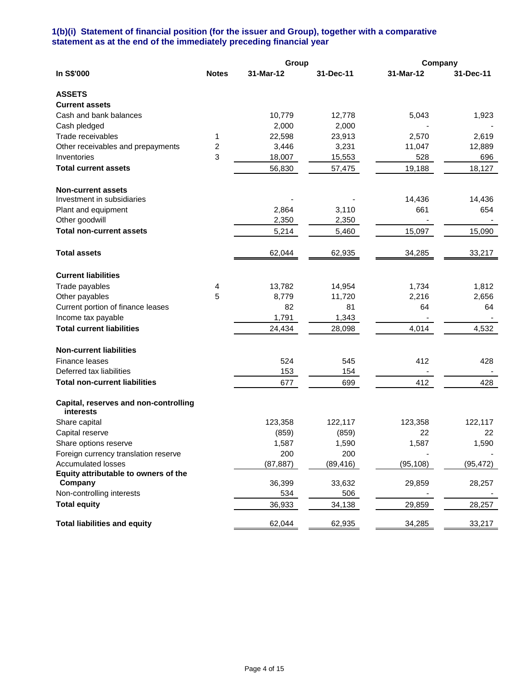## **1(b)(i) Statement of financial position (for the issuer and Group), together with a comparative statement as at the end of the immediately preceding financial year**

|                                                           |              | Group     |           | Company   |           |
|-----------------------------------------------------------|--------------|-----------|-----------|-----------|-----------|
| In S\$'000                                                | <b>Notes</b> | 31-Mar-12 | 31-Dec-11 | 31-Mar-12 | 31-Dec-11 |
| <b>ASSETS</b>                                             |              |           |           |           |           |
| <b>Current assets</b>                                     |              |           |           |           |           |
| Cash and bank balances                                    |              | 10,779    | 12,778    | 5,043     | 1,923     |
| Cash pledged                                              |              | 2,000     | 2,000     |           |           |
| Trade receivables                                         | 1            | 22,598    | 23,913    | 2,570     | 2,619     |
| Other receivables and prepayments                         | 2            | 3,446     | 3,231     | 11,047    | 12,889    |
| Inventories                                               | 3            | 18,007    | 15,553    | 528       | 696       |
| <b>Total current assets</b>                               |              | 56,830    | 57,475    | 19,188    | 18,127    |
| <b>Non-current assets</b>                                 |              |           |           |           |           |
| Investment in subsidiaries                                |              |           |           | 14,436    | 14,436    |
| Plant and equipment                                       |              | 2,864     | 3,110     | 661       | 654       |
| Other goodwill                                            |              | 2,350     | 2,350     |           |           |
| <b>Total non-current assets</b>                           |              | 5,214     | 5,460     | 15,097    | 15,090    |
| <b>Total assets</b>                                       |              | 62,044    | 62,935    | 34,285    | 33,217    |
| <b>Current liabilities</b>                                |              |           |           |           |           |
| Trade payables                                            | 4            | 13,782    | 14,954    | 1,734     | 1,812     |
| Other payables                                            | 5            | 8,779     | 11,720    | 2,216     | 2,656     |
| Current portion of finance leases                         |              | 82        | 81        | 64        | 64        |
| Income tax payable                                        |              | 1,791     | 1,343     |           |           |
| <b>Total current liabilities</b>                          |              | 24,434    | 28,098    | 4,014     | 4,532     |
| <b>Non-current liabilities</b>                            |              |           |           |           |           |
| Finance leases                                            |              | 524       | 545       | 412       | 428       |
| Deferred tax liabilities                                  |              | 153       | 154       |           |           |
| <b>Total non-current liabilities</b>                      |              | 677       | 699       | 412       | 428       |
| Capital, reserves and non-controlling<br><b>interests</b> |              |           |           |           |           |
| Share capital                                             |              | 123,358   | 122,117   | 123,358   | 122,117   |
| Capital reserve                                           |              | (859)     | (859)     | 22        | 22.       |
| Share options reserve                                     |              | 1,587     | 1,590     | 1,587     | 1,590     |
| Foreign currency translation reserve                      |              | 200       | 200       |           |           |
| <b>Accumulated losses</b>                                 |              | (87, 887) | (89, 416) | (95, 108) | (95, 472) |
| Equity attributable to owners of the                      |              |           |           |           |           |
| Company                                                   |              | 36,399    | 33,632    | 29,859    | 28,257    |
| Non-controlling interests                                 |              | 534       | 506       |           |           |
| <b>Total equity</b>                                       |              | 36,933    | 34,138    | 29,859    | 28,257    |
| <b>Total liabilities and equity</b>                       |              | 62,044    | 62,935    | 34,285    | 33,217    |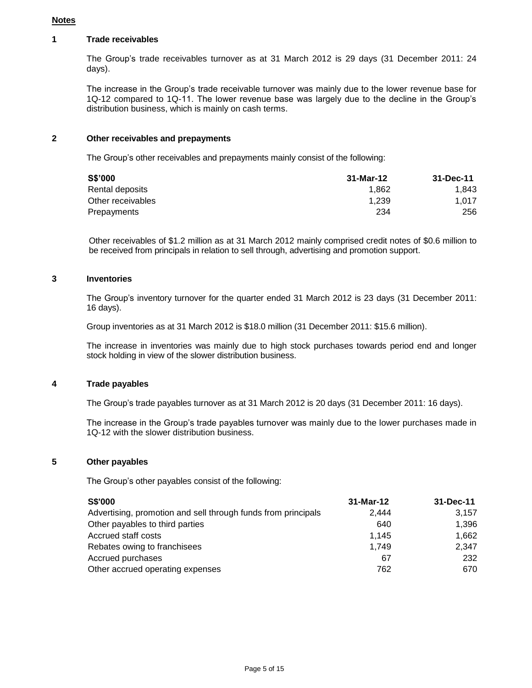### **Notes**

## **1 Trade receivables**

The Group's trade receivables turnover as at 31 March 2012 is 29 days (31 December 2011: 24 days).

The increase in the Group's trade receivable turnover was mainly due to the lower revenue base for 1Q-12 compared to 1Q-11. The lower revenue base was largely due to the decline in the Group's distribution business, which is mainly on cash terms.

## **2 Other receivables and prepayments**

The Group's other receivables and prepayments mainly consist of the following:

| S\$'000           | 31-Mar-12 | 31-Dec-11 |
|-------------------|-----------|-----------|
| Rental deposits   | 1.862     | 1.843     |
| Other receivables | 1.239     | 1.017     |
| Prepayments       | 234       | 256       |

Other receivables of \$1.2 million as at 31 March 2012 mainly comprised credit notes of \$0.6 million to be received from principals in relation to sell through, advertising and promotion support.

## **3 Inventories**

The Group's inventory turnover for the quarter ended 31 March 2012 is 23 days (31 December 2011: 16 days).

Group inventories as at 31 March 2012 is \$18.0 million (31 December 2011: \$15.6 million).

The increase in inventories was mainly due to high stock purchases towards period end and longer stock holding in view of the slower distribution business.

## **4 Trade payables**

The Group's trade payables turnover as at 31 March 2012 is 20 days (31 December 2011: 16 days).

The increase in the Group's trade payables turnover was mainly due to the lower purchases made in 1Q-12 with the slower distribution business.

#### **5 Other payables**

The Group's other payables consist of the following:

| <b>S\$'000</b>                                                | 31-Mar-12 | 31-Dec-11 |
|---------------------------------------------------------------|-----------|-----------|
| Advertising, promotion and sell through funds from principals | 2.444     | 3,157     |
| Other payables to third parties                               | 640       | 1.396     |
| Accrued staff costs                                           | 1.145     | 1.662     |
| Rebates owing to franchisees                                  | 1.749     | 2,347     |
| Accrued purchases                                             | 67        | 232       |
| Other accrued operating expenses                              | 762       | 670       |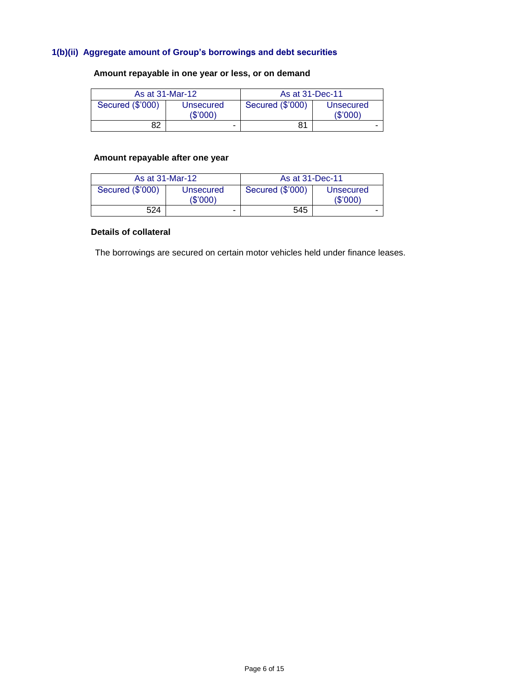## **1(b)(ii) Aggregate amount of Group's borrowings and debt securities**

# **Amount repayable in one year or less, or on demand**

| As at 31-Mar-12  |                          | As at 31-Dec-11  |                       |
|------------------|--------------------------|------------------|-----------------------|
| Secured (\$'000) | Unsecured<br>(\$'000)    | Secured (\$'000) | Unsecured<br>(\$'000) |
| 82               | $\overline{\phantom{0}}$ | 81               | -                     |

## **Amount repayable after one year**

| As at 31-Mar-12  |                       | As at 31-Dec-11  |                      |
|------------------|-----------------------|------------------|----------------------|
| Secured (\$'000) | Unsecured<br>(\$'000) | Secured (\$'000) | Unsecured<br>(S'000) |
| 524              | -                     | 545              |                      |

## **Details of collateral**

The borrowings are secured on certain motor vehicles held under finance leases.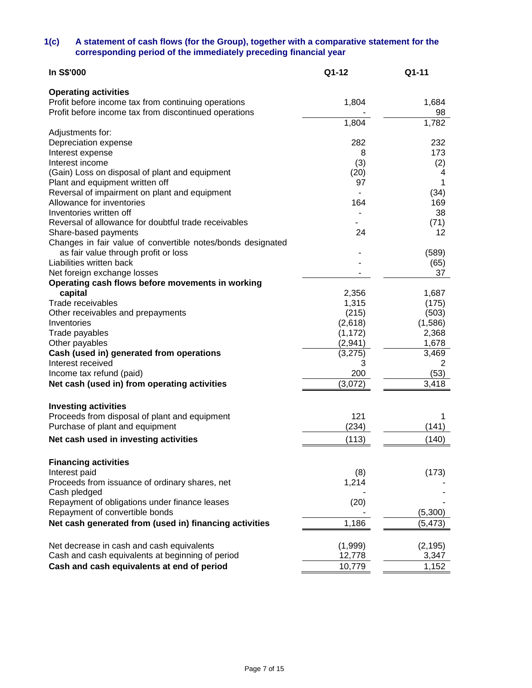## **1(c) A statement of cash flows (for the Group), together with a comparative statement for the corresponding period of the immediately preceding financial year**

| In S\$'000                                                  | Q1-12    | Q1-11    |
|-------------------------------------------------------------|----------|----------|
| <b>Operating activities</b>                                 |          |          |
| Profit before income tax from continuing operations         | 1,804    | 1,684    |
| Profit before income tax from discontinued operations       |          | 98       |
|                                                             | 1,804    | 1,782    |
| Adjustments for:                                            |          |          |
| Depreciation expense                                        | 282      | 232      |
| Interest expense                                            | 8        | 173      |
| Interest income                                             | (3)      | (2)      |
| (Gain) Loss on disposal of plant and equipment              | (20)     | 4        |
| Plant and equipment written off                             | 97       | 1        |
| Reversal of impairment on plant and equipment               |          | (34)     |
| Allowance for inventories                                   | 164      | 169      |
| Inventories written off                                     |          | 38       |
| Reversal of allowance for doubtful trade receivables        |          | (71)     |
| Share-based payments                                        | 24       | 12       |
| Changes in fair value of convertible notes/bonds designated |          |          |
| as fair value through profit or loss                        |          | (589)    |
| Liabilities written back                                    |          | (65)     |
| Net foreign exchange losses                                 |          | 37       |
| Operating cash flows before movements in working            |          |          |
| capital                                                     | 2,356    | 1,687    |
| Trade receivables                                           | 1,315    | (175)    |
| Other receivables and prepayments                           | (215)    | (503)    |
| Inventories                                                 | (2,618)  | (1,586)  |
| Trade payables                                              | (1, 172) | 2,368    |
| Other payables                                              | (2,941)  | 1,678    |
| Cash (used in) generated from operations                    | (3,275)  | 3,469    |
| Interest received                                           | 3        | 2        |
| Income tax refund (paid)                                    | 200      | (53)     |
| Net cash (used in) from operating activities                | (3,072)  | 3,418    |
|                                                             |          |          |
| <b>Investing activities</b>                                 | 121      |          |
| Proceeds from disposal of plant and equipment               |          |          |
| Purchase of plant and equipment                             | (234)    | (141)    |
| Net cash used in investing activities                       | (113)    | (140)    |
| <b>Financing activities</b>                                 |          |          |
| Interest paid                                               | (8)      | (173)    |
| Proceeds from issuance of ordinary shares, net              | 1,214    |          |
| Cash pledged                                                |          |          |
| Repayment of obligations under finance leases               | (20)     |          |
| Repayment of convertible bonds                              |          | (5,300)  |
| Net cash generated from (used in) financing activities      | 1,186    | (5, 473) |
|                                                             |          |          |
| Net decrease in cash and cash equivalents                   | (1,999)  | (2, 195) |
| Cash and cash equivalents at beginning of period            | 12,778   | 3,347    |
| Cash and cash equivalents at end of period                  | 10,779   | 1,152    |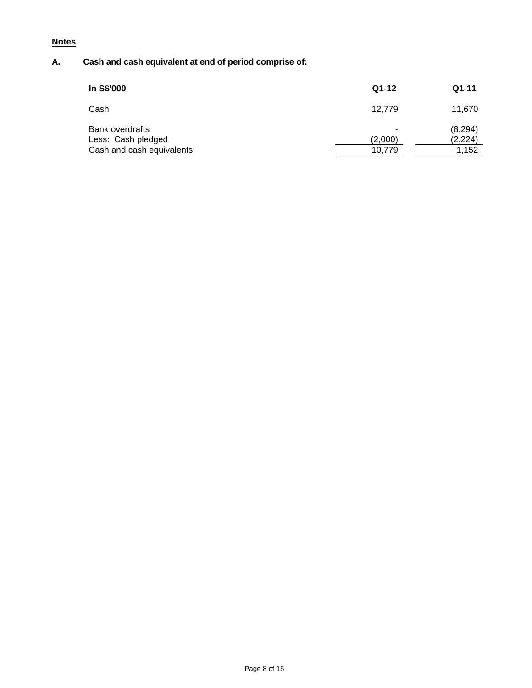# **Notes**

# **A. Cash and cash equivalent at end of period comprise of:**

| In S\$'000                                                                | $Q1-12$                | $Q1-11$                       |
|---------------------------------------------------------------------------|------------------------|-------------------------------|
| Cash                                                                      | 12.779                 | 11,670                        |
| <b>Bank overdrafts</b><br>Less: Cash pledged<br>Cash and cash equivalents | ۰<br>(2,000)<br>10.779 | (8, 294)<br>(2, 224)<br>1.152 |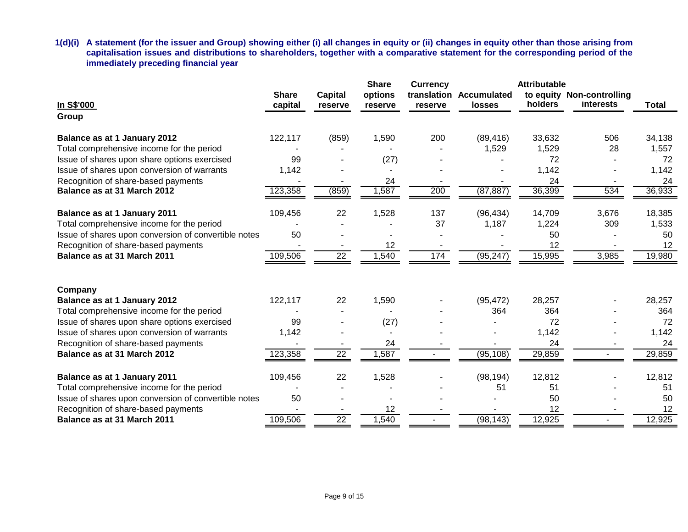**1(d)(i) A statement (for the issuer and Group) showing either (i) all changes in equity or (ii) changes in equity other than those arising from capitalisation issues and distributions to shareholders, together with a comparative statement for the corresponding period of the immediately preceding financial year**

|                                                      |                         |                           | <b>Share</b>       | <b>Currency</b> |                                          | <b>Attributable</b> |                                               |              |
|------------------------------------------------------|-------------------------|---------------------------|--------------------|-----------------|------------------------------------------|---------------------|-----------------------------------------------|--------------|
| In S\$'000                                           | <b>Share</b><br>capital | <b>Capital</b><br>reserve | options<br>reserve | reserve         | translation Accumulated<br><b>losses</b> | holders             | to equity Non-controlling<br><b>interests</b> | <b>Total</b> |
| Group                                                |                         |                           |                    |                 |                                          |                     |                                               |              |
| Balance as at 1 January 2012                         | 122,117                 | (859)                     | 1,590              | 200             | (89, 416)                                | 33,632              | 506                                           | 34,138       |
| Total comprehensive income for the period            |                         |                           |                    |                 | 1,529                                    | 1,529               | 28                                            | 1,557        |
| Issue of shares upon share options exercised         | 99                      |                           | (27)               |                 |                                          | 72                  |                                               | 72           |
| Issue of shares upon conversion of warrants          | 1,142                   |                           |                    |                 |                                          | 1,142               |                                               | 1,142        |
| Recognition of share-based payments                  |                         |                           | 24                 |                 |                                          | 24                  |                                               | 24           |
| Balance as at 31 March 2012                          | 123,358                 | (859)                     | ,587               | 200             | (87, 887)                                | 36,399              | 534                                           | 36,933       |
| Balance as at 1 January 2011                         | 109,456                 | 22                        | 1,528              | 137             | (96, 434)                                | 14,709              | 3,676                                         | 18,385       |
| Total comprehensive income for the period            |                         |                           |                    | 37              | 1,187                                    | 1,224               | 309                                           | 1,533        |
| Issue of shares upon conversion of convertible notes | 50                      |                           |                    |                 |                                          | 50                  |                                               | 50           |
| Recognition of share-based payments                  |                         |                           | 12                 |                 |                                          | 12                  |                                               | 12           |
| Balance as at 31 March 2011                          | 109,506                 | $\overline{22}$           | 1,540              | 174             | (95, 247)                                | 15,995              | 3,985                                         | 19,980       |
|                                                      |                         |                           |                    |                 |                                          |                     |                                               |              |
| Company<br>Balance as at 1 January 2012              | 122,117                 | 22                        | 1,590              |                 | (95, 472)                                | 28,257              |                                               | 28,257       |
| Total comprehensive income for the period            |                         |                           |                    |                 | 364                                      | 364                 |                                               | 364          |
| Issue of shares upon share options exercised         | 99                      |                           | (27)               |                 |                                          | 72                  |                                               | 72           |
| Issue of shares upon conversion of warrants          | 1,142                   |                           |                    |                 |                                          | 1,142               |                                               | 1,142        |
| Recognition of share-based payments                  |                         |                           | 24                 |                 |                                          | 24                  |                                               | 24           |
| Balance as at 31 March 2012                          | 123,358                 | $\overline{22}$           | 1,587              |                 | (95, 108)                                | 29,859              |                                               | 29,859       |
| Balance as at 1 January 2011                         | 109,456                 | 22                        | 1,528              |                 | (98, 194)                                | 12,812              |                                               | 12,812       |
| Total comprehensive income for the period            |                         |                           |                    |                 | 51                                       | 51                  |                                               | 51           |
| Issue of shares upon conversion of convertible notes | 50                      |                           |                    |                 |                                          | 50                  |                                               | 50           |
| Recognition of share-based payments                  |                         |                           | 12                 |                 |                                          | 12                  |                                               | 12           |
| Balance as at 31 March 2011                          | 109,506                 | $\overline{22}$           | 1,540              |                 | (98, 143)                                | 12,925              |                                               | 12,925       |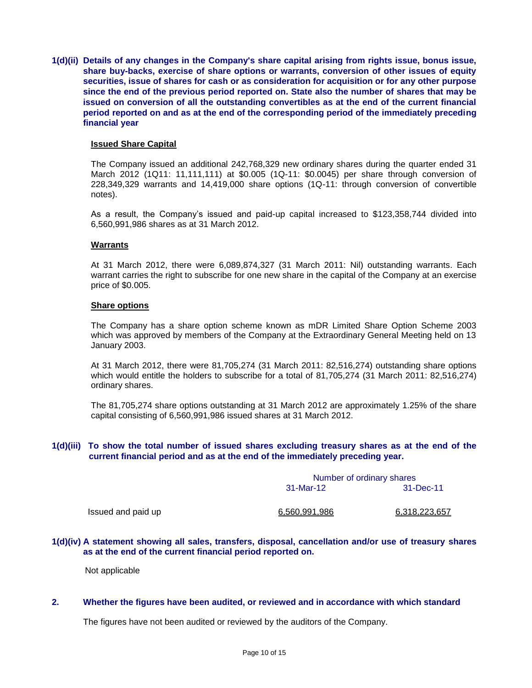**1(d)(ii) Details of any changes in the Company's share capital arising from rights issue, bonus issue, share buy-backs, exercise of share options or warrants, conversion of other issues of equity securities, issue of shares for cash or as consideration for acquisition or for any other purpose since the end of the previous period reported on. State also the number of shares that may be issued on conversion of all the outstanding convertibles as at the end of the current financial period reported on and as at the end of the corresponding period of the immediately preceding financial year**

#### **Issued Share Capital**

The Company issued an additional 242,768,329 new ordinary shares during the quarter ended 31 March 2012 (1Q11: 11,111,111) at \$0.005 (1Q-11: \$0.0045) per share through conversion of 228,349,329 warrants and 14,419,000 share options (1Q-11: through conversion of convertible notes).

As a result, the Company's issued and paid-up capital increased to \$123,358,744 divided into 6,560,991,986 shares as at 31 March 2012.

#### **Warrants**

At 31 March 2012, there were 6,089,874,327 (31 March 2011: Nil) outstanding warrants. Each warrant carries the right to subscribe for one new share in the capital of the Company at an exercise price of \$0.005.

#### **Share options**

The Company has a share option scheme known as mDR Limited Share Option Scheme 2003 which was approved by members of the Company at the Extraordinary General Meeting held on 13 January 2003.

At 31 March 2012, there were 81,705,274 (31 March 2011: 82,516,274) outstanding share options which would entitle the holders to subscribe for a total of 81,705,274 (31 March 2011: 82,516,274) ordinary shares.

The 81,705,274 share options outstanding at 31 March 2012 are approximately 1.25% of the share capital consisting of 6,560,991,986 issued shares at 31 March 2012.

## **1(d)(iii) To show the total number of issued shares excluding treasury shares as at the end of the current financial period and as at the end of the immediately preceding year.**

|                    | Number of ordinary shares |                      |  |  |
|--------------------|---------------------------|----------------------|--|--|
|                    | 31-Mar-12                 | 31-Dec-11            |  |  |
| Issued and paid up | 6,560,991,986             | <u>6,318,223,657</u> |  |  |

#### **1(d)(iv) A statement showing all sales, transfers, disposal, cancellation and/or use of treasury shares as at the end of the current financial period reported on.**

Not applicable

### **2. Whether the figures have been audited, or reviewed and in accordance with which standard**

The figures have not been audited or reviewed by the auditors of the Company.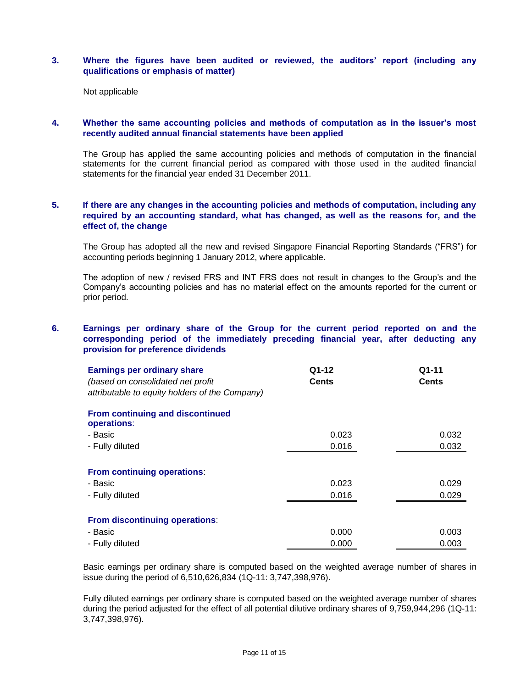## **3. Where the figures have been audited or reviewed, the auditors' report (including any qualifications or emphasis of matter)**

Not applicable

## **4. Whether the same accounting policies and methods of computation as in the issuer's most recently audited annual financial statements have been applied**

The Group has applied the same accounting policies and methods of computation in the financial statements for the current financial period as compared with those used in the audited financial statements for the financial year ended 31 December 2011.

## **5. If there are any changes in the accounting policies and methods of computation, including any required by an accounting standard, what has changed, as well as the reasons for, and the effect of, the change**

The Group has adopted all the new and revised Singapore Financial Reporting Standards ("FRS") for accounting periods beginning 1 January 2012, where applicable.

The adoption of new / revised FRS and INT FRS does not result in changes to the Group's and the Company's accounting policies and has no material effect on the amounts reported for the current or prior period.

## **6. Earnings per ordinary share of the Group for the current period reported on and the corresponding period of the immediately preceding financial year, after deducting any provision for preference dividends**

| <b>Earnings per ordinary share</b><br>(based on consolidated net profit<br>attributable to equity holders of the Company) | Q1-12<br><b>Cents</b> | $Q1-11$<br><b>Cents</b> |
|---------------------------------------------------------------------------------------------------------------------------|-----------------------|-------------------------|
| From continuing and discontinued<br>operations:                                                                           |                       |                         |
| - Basic                                                                                                                   | 0.023                 | 0.032                   |
| - Fully diluted                                                                                                           | 0.016                 | 0.032                   |
| <b>From continuing operations:</b>                                                                                        |                       |                         |
| - Basic                                                                                                                   | 0.023                 | 0.029                   |
| - Fully diluted                                                                                                           | 0.016                 | 0.029                   |
| From discontinuing operations:                                                                                            |                       |                         |
| - Basic                                                                                                                   | 0.000                 | 0.003                   |
| - Fully diluted                                                                                                           | 0.000                 | 0.003                   |

Basic earnings per ordinary share is computed based on the weighted average number of shares in issue during the period of 6,510,626,834 (1Q-11: 3,747,398,976).

Fully diluted earnings per ordinary share is computed based on the weighted average number of shares during the period adjusted for the effect of all potential dilutive ordinary shares of 9,759,944,296 (1Q-11: 3,747,398,976).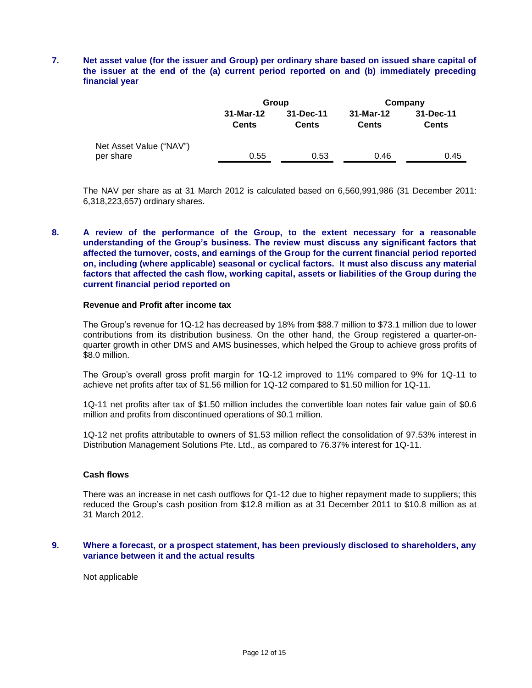## **7. Net asset value (for the issuer and Group) per ordinary share based on issued share capital of the issuer at the end of the (a) current period reported on and (b) immediately preceding financial year**

|                                      |                           | Group                     | Company                   |                           |  |
|--------------------------------------|---------------------------|---------------------------|---------------------------|---------------------------|--|
|                                      | 31-Mar-12<br><b>Cents</b> | 31-Dec-11<br><b>Cents</b> | 31-Mar-12<br><b>Cents</b> | 31-Dec-11<br><b>Cents</b> |  |
| Net Asset Value ("NAV")<br>per share | 0.55                      | 0.53                      | 0.46                      | 0.45                      |  |
|                                      |                           |                           |                           |                           |  |

The NAV per share as at 31 March 2012 is calculated based on 6,560,991,986 (31 December 2011: 6,318,223,657) ordinary shares.

## **8. A review of the performance of the Group, to the extent necessary for a reasonable understanding of the Group's business. The review must discuss any significant factors that affected the turnover, costs, and earnings of the Group for the current financial period reported on, including (where applicable) seasonal or cyclical factors. It must also discuss any material factors that affected the cash flow, working capital, assets or liabilities of the Group during the current financial period reported on**

#### **Revenue and Profit after income tax**

The Group's revenue for 1Q-12 has decreased by 18% from \$88.7 million to \$73.1 million due to lower contributions from its distribution business. On the other hand, the Group registered a quarter-onquarter growth in other DMS and AMS businesses, which helped the Group to achieve gross profits of \$8.0 million.

The Group's overall gross profit margin for 1Q-12 improved to 11% compared to 9% for 1Q-11 to achieve net profits after tax of \$1.56 million for 1Q-12 compared to \$1.50 million for 1Q-11.

1Q-11 net profits after tax of \$1.50 million includes the convertible loan notes fair value gain of \$0.6 million and profits from discontinued operations of \$0.1 million.

1Q-12 net profits attributable to owners of \$1.53 million reflect the consolidation of 97.53% interest in Distribution Management Solutions Pte. Ltd., as compared to 76.37% interest for 1Q-11.

#### **Cash flows**

There was an increase in net cash outflows for Q1-12 due to higher repayment made to suppliers; this reduced the Group's cash position from \$12.8 million as at 31 December 2011 to \$10.8 million as at 31 March 2012.

#### **9. Where a forecast, or a prospect statement, has been previously disclosed to shareholders, any variance between it and the actual results**

Not applicable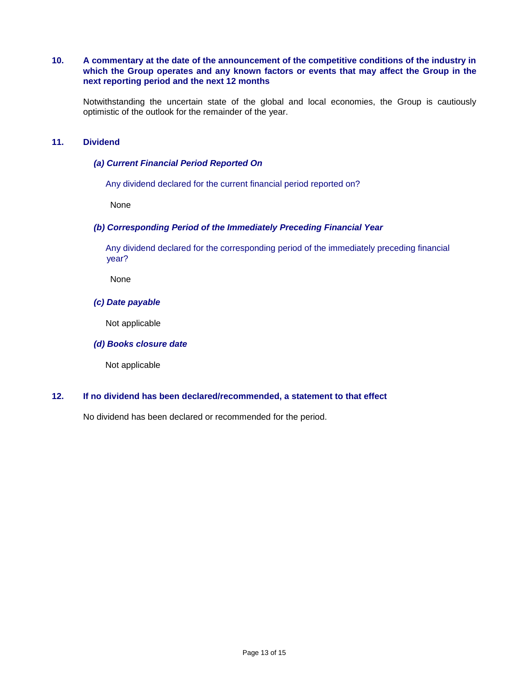## **10. A commentary at the date of the announcement of the competitive conditions of the industry in which the Group operates and any known factors or events that may affect the Group in the next reporting period and the next 12 months**

Notwithstanding the uncertain state of the global and local economies, the Group is cautiously optimistic of the outlook for the remainder of the year.

## **11. Dividend**

### *(a) Current Financial Period Reported On*

Any dividend declared for the current financial period reported on?

None

#### *(b) Corresponding Period of the Immediately Preceding Financial Year*

 Any dividend declared for the corresponding period of the immediately preceding financial year?

None

#### *(c) Date payable*

Not applicable

#### *(d) Books closure date*

Not applicable

## **12. If no dividend has been declared/recommended, a statement to that effect**

No dividend has been declared or recommended for the period.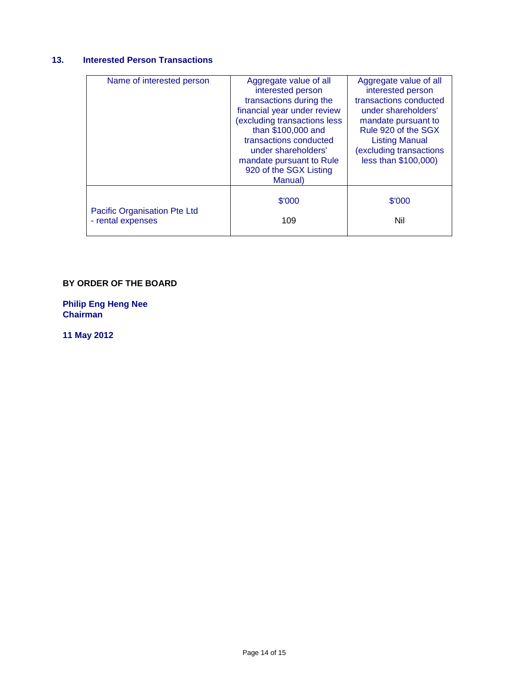# **13. Interested Person Transactions**

| Name of interested person                         | Aggregate value of all<br>interested person<br>transactions during the<br>financial year under review<br>(excluding transactions less<br>than \$100,000 and<br>transactions conducted<br>under shareholders'<br>mandate pursuant to Rule<br>920 of the SGX Listing<br>Manual) | Aggregate value of all<br>interested person<br>transactions conducted<br>under shareholders'<br>mandate pursuant to<br>Rule 920 of the SGX<br><b>Listing Manual</b><br>(excluding transactions<br>less than \$100,000) |
|---------------------------------------------------|-------------------------------------------------------------------------------------------------------------------------------------------------------------------------------------------------------------------------------------------------------------------------------|------------------------------------------------------------------------------------------------------------------------------------------------------------------------------------------------------------------------|
| Pacific Organisation Pte Ltd<br>- rental expenses | \$'000<br>109                                                                                                                                                                                                                                                                 | \$'000<br>Nil                                                                                                                                                                                                          |

## **BY ORDER OF THE BOARD**

**Philip Eng Heng Nee Chairman**

**11 May 2012**